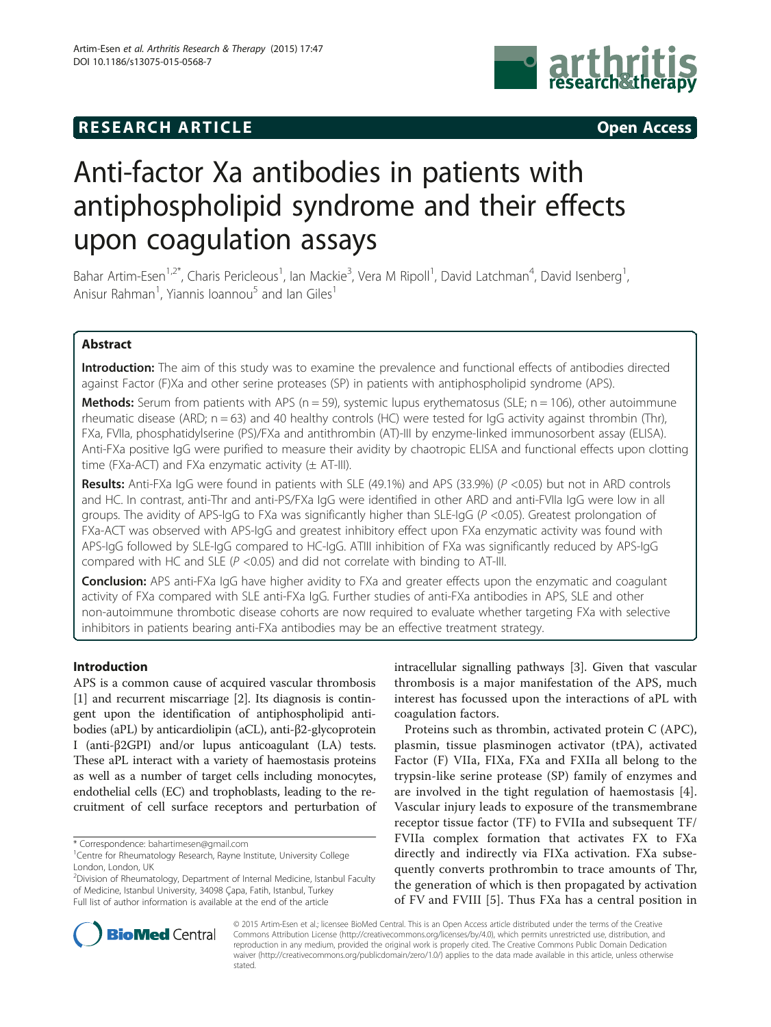# **RESEARCH ARTICLE Example 2014 12:30 The SEAR CH ACCESS**



# Anti-factor Xa antibodies in patients with antiphospholipid syndrome and their effects upon coagulation assays

Bahar Artim-Esen<sup>1,2\*</sup>, Charis Pericleous<sup>1</sup>, Ian Mackie<sup>3</sup>, Vera M Ripoll<sup>1</sup>, David Latchman<sup>4</sup>, David Isenberg<sup>1</sup> , Anisur Rahman<sup>1</sup>, Yiannis Ioannou<sup>5</sup> and Ian Giles<sup>1</sup>

# Abstract

Introduction: The aim of this study was to examine the prevalence and functional effects of antibodies directed against Factor (F)Xa and other serine proteases (SP) in patients with antiphospholipid syndrome (APS).

**Methods:** Serum from patients with APS ( $n = 59$ ), systemic lupus erythematosus (SLE;  $n = 106$ ), other autoimmune rheumatic disease (ARD; n = 63) and 40 healthy controls (HC) were tested for IgG activity against thrombin (Thr), FXa, FVIIa, phosphatidylserine (PS)/FXa and antithrombin (AT)-III by enzyme-linked immunosorbent assay (ELISA). Anti-FXa positive IgG were purified to measure their avidity by chaotropic ELISA and functional effects upon clotting time (FXa-ACT) and FXa enzymatic activity  $(\pm$  AT-III).

Results: Anti-FXa IgG were found in patients with SLE (49.1%) and APS (33.9%) (P <0.05) but not in ARD controls and HC. In contrast, anti-Thr and anti-PS/FXa IgG were identified in other ARD and anti-FVIIa IgG were low in all groups. The avidity of APS-IgG to FXa was significantly higher than SLE-IgG (P <0.05). Greatest prolongation of FXa-ACT was observed with APS-IgG and greatest inhibitory effect upon FXa enzymatic activity was found with APS-IgG followed by SLE-IgG compared to HC-IgG. ATIII inhibition of FXa was significantly reduced by APS-IgG compared with HC and SLE ( $P$  <0.05) and did not correlate with binding to AT-III.

Conclusion: APS anti-FXa IgG have higher avidity to FXa and greater effects upon the enzymatic and coagulant activity of FXa compared with SLE anti-FXa IgG. Further studies of anti-FXa antibodies in APS, SLE and other non-autoimmune thrombotic disease cohorts are now required to evaluate whether targeting FXa with selective inhibitors in patients bearing anti-FXa antibodies may be an effective treatment strategy.

# Introduction

APS is a common cause of acquired vascular thrombosis [[1\]](#page-8-0) and recurrent miscarriage [[2](#page-8-0)]. Its diagnosis is contingent upon the identification of antiphospholipid antibodies (aPL) by anticardiolipin (aCL), anti-β2-glycoprotein I (anti-β2GPI) and/or lupus anticoagulant (LA) tests. These aPL interact with a variety of haemostasis proteins as well as a number of target cells including monocytes, endothelial cells (EC) and trophoblasts, leading to the recruitment of cell surface receptors and perturbation of

<sup>2</sup>Division of Rheumatology, Department of Internal Medicine, Istanbul Faculty of Medicine, Istanbul University, 34098 Çapa, Fatih, Istanbul, Turkey Full list of author information is available at the end of the article

intracellular signalling pathways [[3](#page-8-0)]. Given that vascular thrombosis is a major manifestation of the APS, much interest has focussed upon the interactions of aPL with coagulation factors.

Proteins such as thrombin, activated protein C (APC), plasmin, tissue plasminogen activator (tPA), activated Factor (F) VIIa, FIXa, FXa and FXIIa all belong to the trypsin-like serine protease (SP) family of enzymes and are involved in the tight regulation of haemostasis [\[4](#page-8-0)]. Vascular injury leads to exposure of the transmembrane receptor tissue factor (TF) to FVIIa and subsequent TF/ FVIIa complex formation that activates FX to FXa directly and indirectly via FIXa activation. FXa subsequently converts prothrombin to trace amounts of Thr, the generation of which is then propagated by activation of FV and FVIII [[5\]](#page-8-0). Thus FXa has a central position in



© 2015 Artim-Esen et al.; licensee BioMed Central. This is an Open Access article distributed under the terms of the Creative Commons Attribution License [\(http://creativecommons.org/licenses/by/4.0\)](http://creativecommons.org/licenses/by/4.0), which permits unrestricted use, distribution, and reproduction in any medium, provided the original work is properly cited. The Creative Commons Public Domain Dedication waiver [\(http://creativecommons.org/publicdomain/zero/1.0/\)](http://creativecommons.org/publicdomain/zero/1.0/) applies to the data made available in this article, unless otherwise stated.

<sup>\*</sup> Correspondence: [bahartimesen@gmail.com](mailto:bahartimesen@gmail.com) <sup>1</sup>

<sup>&</sup>lt;sup>1</sup> Centre for Rheumatology Research, Rayne Institute, University College London, London, UK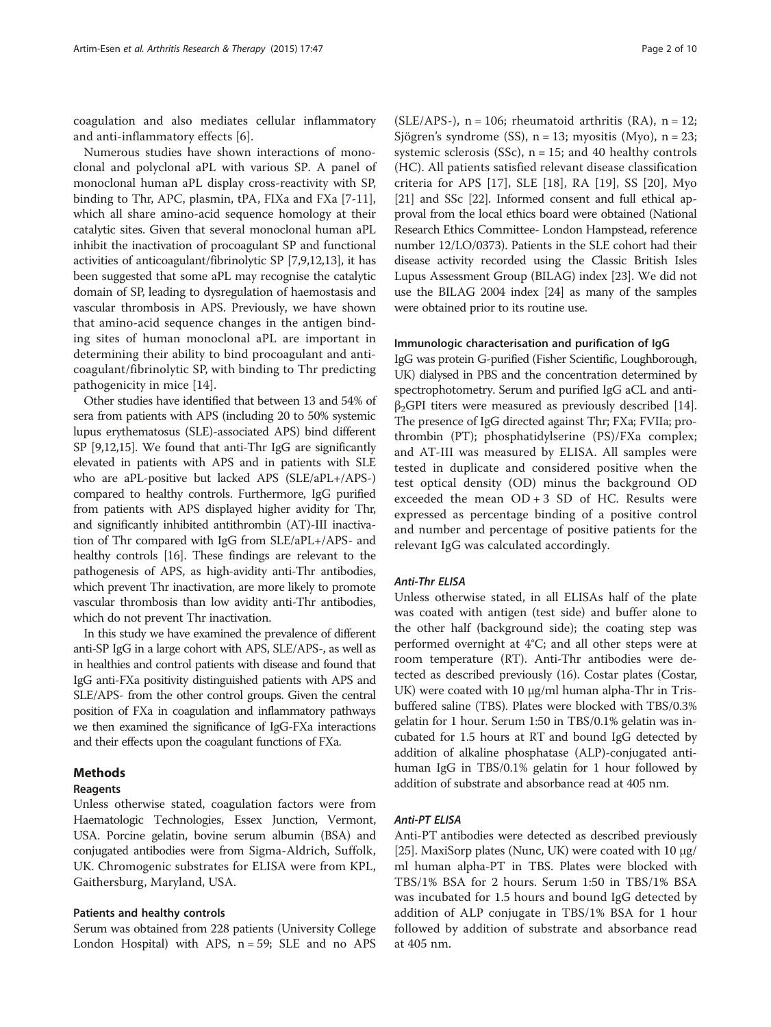coagulation and also mediates cellular inflammatory and anti-inflammatory effects [\[6](#page-8-0)].

Numerous studies have shown interactions of monoclonal and polyclonal aPL with various SP. A panel of monoclonal human aPL display cross-reactivity with SP, binding to Thr, APC, plasmin, tPA, FIXa and FXa [[7-11](#page-8-0)], which all share amino-acid sequence homology at their catalytic sites. Given that several monoclonal human aPL inhibit the inactivation of procoagulant SP and functional activities of anticoagulant/fibrinolytic SP [\[7,9,12,](#page-8-0)[13](#page-9-0)], it has been suggested that some aPL may recognise the catalytic domain of SP, leading to dysregulation of haemostasis and vascular thrombosis in APS. Previously, we have shown that amino-acid sequence changes in the antigen binding sites of human monoclonal aPL are important in determining their ability to bind procoagulant and anticoagulant/fibrinolytic SP, with binding to Thr predicting pathogenicity in mice [[14\]](#page-9-0).

Other studies have identified that between 13 and 54% of sera from patients with APS (including 20 to 50% systemic lupus erythematosus (SLE)-associated APS) bind different SP [\[9,12,](#page-8-0)[15](#page-9-0)]. We found that anti-Thr IgG are significantly elevated in patients with APS and in patients with SLE who are aPL-positive but lacked APS (SLE/aPL+/APS-) compared to healthy controls. Furthermore, IgG purified from patients with APS displayed higher avidity for Thr, and significantly inhibited antithrombin (AT)-III inactivation of Thr compared with IgG from SLE/aPL+/APS- and healthy controls [\[16\]](#page-9-0). These findings are relevant to the pathogenesis of APS, as high-avidity anti-Thr antibodies, which prevent Thr inactivation, are more likely to promote vascular thrombosis than low avidity anti-Thr antibodies, which do not prevent Thr inactivation.

In this study we have examined the prevalence of different anti-SP IgG in a large cohort with APS, SLE/APS-, as well as in healthies and control patients with disease and found that IgG anti-FXa positivity distinguished patients with APS and SLE/APS- from the other control groups. Given the central position of FXa in coagulation and inflammatory pathways we then examined the significance of IgG-FXa interactions and their effects upon the coagulant functions of FXa.

# Methods

#### Reagents

Unless otherwise stated, coagulation factors were from Haematologic Technologies, Essex Junction, Vermont, USA. Porcine gelatin, bovine serum albumin (BSA) and conjugated antibodies were from Sigma-Aldrich, Suffolk, UK. Chromogenic substrates for ELISA were from KPL, Gaithersburg, Maryland, USA.

#### Patients and healthy controls

Serum was obtained from 228 patients (University College London Hospital) with APS,  $n = 59$ ; SLE and no APS

(SLE/APS-),  $n = 106$ ; rheumatoid arthritis (RA),  $n = 12$ ; Sjögren's syndrome  $(SS)$ , n = 13; myositis  $(Myo)$ , n = 23; systemic sclerosis (SSc),  $n = 15$ ; and 40 healthy controls (HC). All patients satisfied relevant disease classification criteria for APS [\[17](#page-9-0)], SLE [[18\]](#page-9-0), RA [[19](#page-9-0)], SS [\[20](#page-9-0)], Myo [[21](#page-9-0)] and SSc [[22](#page-9-0)]. Informed consent and full ethical approval from the local ethics board were obtained (National Research Ethics Committee- London Hampstead, reference number 12/LO/0373). Patients in the SLE cohort had their disease activity recorded using the Classic British Isles Lupus Assessment Group (BILAG) index [\[23\]](#page-9-0). We did not use the BILAG 2004 index [\[24](#page-9-0)] as many of the samples were obtained prior to its routine use.

#### Immunologic characterisation and purification of IgG

IgG was protein G-purified (Fisher Scientific, Loughborough, UK) dialysed in PBS and the concentration determined by spectrophotometry. Serum and purified IgG aCL and anti $β<sub>2</sub>GPI$  titers were measured as previously described [[14](#page-9-0)]. The presence of IgG directed against Thr; FXa; FVIIa; prothrombin (PT); phosphatidylserine (PS)/FXa complex; and AT-III was measured by ELISA. All samples were tested in duplicate and considered positive when the test optical density (OD) minus the background OD exceeded the mean  $OD + 3 SD$  of HC. Results were expressed as percentage binding of a positive control and number and percentage of positive patients for the relevant IgG was calculated accordingly.

# Anti-Thr ELISA

Unless otherwise stated, in all ELISAs half of the plate was coated with antigen (test side) and buffer alone to the other half (background side); the coating step was performed overnight at 4°C; and all other steps were at room temperature (RT). Anti-Thr antibodies were detected as described previously (16). Costar plates (Costar, UK) were coated with 10 μg/ml human alpha-Thr in Trisbuffered saline (TBS). Plates were blocked with TBS/0.3% gelatin for 1 hour. Serum 1:50 in TBS/0.1% gelatin was incubated for 1.5 hours at RT and bound IgG detected by addition of alkaline phosphatase (ALP)-conjugated antihuman IgG in TBS/0.1% gelatin for 1 hour followed by addition of substrate and absorbance read at 405 nm.

#### Anti-PT ELISA

Anti-PT antibodies were detected as described previously [[25](#page-9-0)]. MaxiSorp plates (Nunc, UK) were coated with  $10 \mu g$ / ml human alpha-PT in TBS. Plates were blocked with TBS/1% BSA for 2 hours. Serum 1:50 in TBS/1% BSA was incubated for 1.5 hours and bound IgG detected by addition of ALP conjugate in TBS/1% BSA for 1 hour followed by addition of substrate and absorbance read at 405 nm.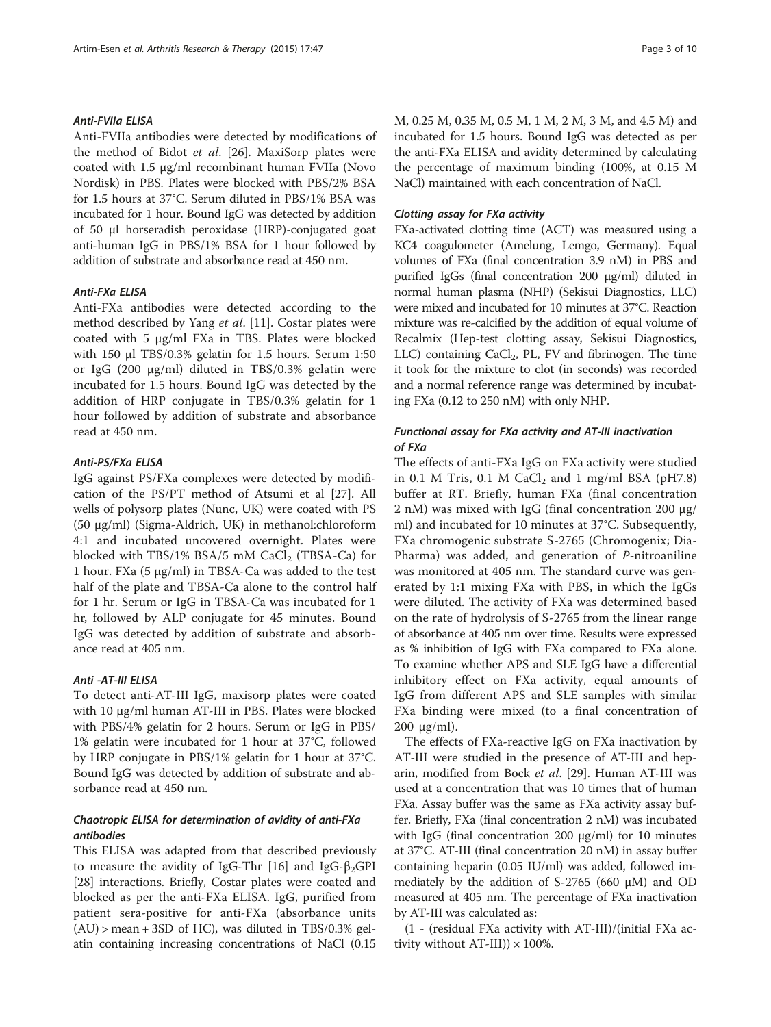#### Anti-FVIIa ELISA

Anti-FVIIa antibodies were detected by modifications of the method of Bidot et al. [[26\]](#page-9-0). MaxiSorp plates were coated with 1.5 μg/ml recombinant human FVIIa (Novo Nordisk) in PBS. Plates were blocked with PBS/2% BSA for 1.5 hours at 37°C. Serum diluted in PBS/1% BSA was incubated for 1 hour. Bound IgG was detected by addition of 50 μl horseradish peroxidase (HRP)-conjugated goat anti-human IgG in PBS/1% BSA for 1 hour followed by addition of substrate and absorbance read at 450 nm.

#### Anti-FXa ELISA

Anti-FXa antibodies were detected according to the method described by Yang et al. [\[11\]](#page-8-0). Costar plates were coated with 5 μg/ml FXa in TBS. Plates were blocked with 150 μl TBS/0.3% gelatin for 1.5 hours. Serum 1:50 or IgG (200 μg/ml) diluted in TBS/0.3% gelatin were incubated for 1.5 hours. Bound IgG was detected by the addition of HRP conjugate in TBS/0.3% gelatin for 1 hour followed by addition of substrate and absorbance read at 450 nm.

#### Anti-PS/FXa ELISA

IgG against PS/FXa complexes were detected by modification of the PS/PT method of Atsumi et al [[27](#page-9-0)]. All wells of polysorp plates (Nunc, UK) were coated with PS (50 μg/ml) (Sigma-Aldrich, UK) in methanol:chloroform 4:1 and incubated uncovered overnight. Plates were blocked with TBS/1% BSA/5 mM CaCl<sub>2</sub> (TBSA-Ca) for 1 hour. FXa (5 μg/ml) in TBSA-Ca was added to the test half of the plate and TBSA-Ca alone to the control half for 1 hr. Serum or IgG in TBSA-Ca was incubated for 1 hr, followed by ALP conjugate for 45 minutes. Bound IgG was detected by addition of substrate and absorbance read at 405 nm.

#### Anti -AT-III ELISA

To detect anti-AT-III IgG, maxisorp plates were coated with 10 μg/ml human AT-III in PBS. Plates were blocked with PBS/4% gelatin for 2 hours. Serum or IgG in PBS/ 1% gelatin were incubated for 1 hour at 37°C, followed by HRP conjugate in PBS/1% gelatin for 1 hour at 37°C. Bound IgG was detected by addition of substrate and absorbance read at 450 nm.

#### Chaotropic ELISA for determination of avidity of anti-FXa antibodies

This ELISA was adapted from that described previously to measure the avidity of IgG-Thr [\[16\]](#page-9-0) and IgG- $\beta_2$ GPI [[28\]](#page-9-0) interactions. Briefly, Costar plates were coated and blocked as per the anti-FXa ELISA. IgG, purified from patient sera-positive for anti-FXa (absorbance units  $(AU)$  > mean + 3SD of HC), was diluted in TBS/0.3% gelatin containing increasing concentrations of NaCl (0.15 M, 0.25 M, 0.35 M, 0.5 M, 1 M, 2 M, 3 M, and 4.5 M) and incubated for 1.5 hours. Bound IgG was detected as per the anti-FXa ELISA and avidity determined by calculating the percentage of maximum binding (100%, at 0.15 M NaCl) maintained with each concentration of NaCl.

#### Clotting assay for FXa activity

FXa-activated clotting time (ACT) was measured using a KC4 coagulometer (Amelung, Lemgo, Germany). Equal volumes of FXa (final concentration 3.9 nM) in PBS and purified IgGs (final concentration 200 μg/ml) diluted in normal human plasma (NHP) (Sekisui Diagnostics, LLC) were mixed and incubated for 10 minutes at 37°C. Reaction mixture was re-calcified by the addition of equal volume of Recalmix (Hep-test clotting assay, Sekisui Diagnostics, LLC) containing  $CaCl<sub>2</sub>$ , PL, FV and fibrinogen. The time it took for the mixture to clot (in seconds) was recorded and a normal reference range was determined by incubating FXa (0.12 to 250 nM) with only NHP.

# Functional assay for FXa activity and AT-III inactivation of FXa

The effects of anti-FXa IgG on FXa activity were studied in 0.1 M Tris, 0.1 M CaCl<sub>2</sub> and 1 mg/ml BSA (pH7.8) buffer at RT. Briefly, human FXa (final concentration 2 nM) was mixed with IgG (final concentration 200 μg/ ml) and incubated for 10 minutes at 37°C. Subsequently, FXa chromogenic substrate S-2765 (Chromogenix; Dia-Pharma) was added, and generation of P-nitroaniline was monitored at 405 nm. The standard curve was generated by 1:1 mixing FXa with PBS, in which the IgGs were diluted. The activity of FXa was determined based on the rate of hydrolysis of S-2765 from the linear range of absorbance at 405 nm over time. Results were expressed as % inhibition of IgG with FXa compared to FXa alone. To examine whether APS and SLE IgG have a differential inhibitory effect on FXa activity, equal amounts of IgG from different APS and SLE samples with similar FXa binding were mixed (to a final concentration of 200  $\mu$ g/ml).

The effects of FXa-reactive IgG on FXa inactivation by AT-III were studied in the presence of AT-III and hep-arin, modified from Bock et al. [[29\]](#page-9-0). Human AT-III was used at a concentration that was 10 times that of human FXa. Assay buffer was the same as FXa activity assay buffer. Briefly, FXa (final concentration 2 nM) was incubated with IgG (final concentration 200 μg/ml) for 10 minutes at 37°C. AT-III (final concentration 20 nM) in assay buffer containing heparin (0.05 IU/ml) was added, followed immediately by the addition of S-2765 (660  $\mu$ M) and OD measured at 405 nm. The percentage of FXa inactivation by AT-III was calculated as:

(1 - (residual FXa activity with AT-III)/(initial FXa activity without  $AT-III$ )  $\times$  100%.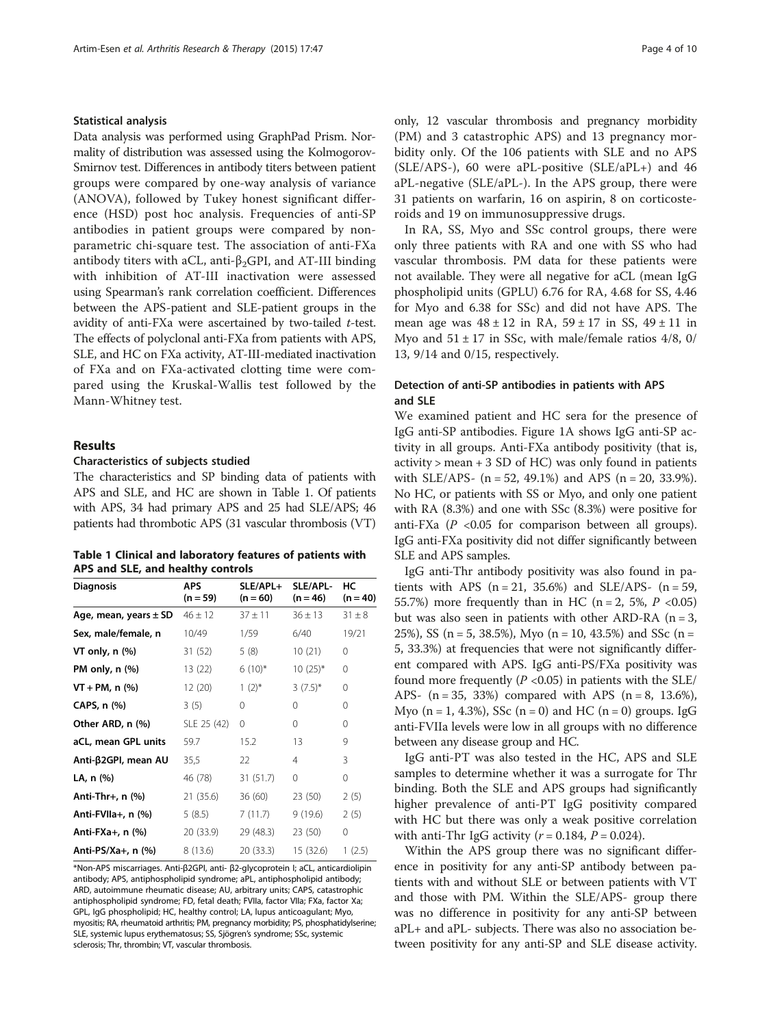#### Statistical analysis

Data analysis was performed using GraphPad Prism. Normality of distribution was assessed using the Kolmogorov-Smirnov test. Differences in antibody titers between patient groups were compared by one-way analysis of variance (ANOVA), followed by Tukey honest significant difference (HSD) post hoc analysis. Frequencies of anti-SP antibodies in patient groups were compared by nonparametric chi-square test. The association of anti-FXa antibody titers with aCL, anti- $\beta_2$ GPI, and AT-III binding with inhibition of AT-III inactivation were assessed using Spearman's rank correlation coefficient. Differences between the APS-patient and SLE-patient groups in the avidity of anti-FXa were ascertained by two-tailed  $t$ -test. The effects of polyclonal anti-FXa from patients with APS, SLE, and HC on FXa activity, AT-III-mediated inactivation of FXa and on FXa-activated clotting time were compared using the Kruskal-Wallis test followed by the Mann-Whitney test.

#### Results

#### Characteristics of subjects studied

The characteristics and SP binding data of patients with APS and SLE, and HC are shown in Table 1. Of patients with APS, 34 had primary APS and 25 had SLE/APS; 46 patients had thrombotic APS (31 vascular thrombosis (VT)

| Table 1 Clinical and laboratory features of patients with |
|-----------------------------------------------------------|
| APS and SLE, and healthy controls                         |

| <b>Diagnosis</b>          | APS.<br>$(n = 59)$ | SLE/APL+<br>$(n = 60)$ | SLE/APL-<br>$(n = 46)$ | HС<br>$(n = 40)$ |
|---------------------------|--------------------|------------------------|------------------------|------------------|
| Age, mean, years $\pm$ SD | $46 \pm 12$        | $37 + 11$              | $36 \pm 13$            | $31 \pm 8$       |
| Sex, male/female, n       | 10/49              | 1/59                   | 6/40                   | 19/21            |
| VT only, n (%)            | 31(52)             | 5(8)                   | 10(21)                 | 0                |
| PM only, $n$ $%$          | 13 (22)            | $6(10)*$               | $10(25)*$              | 0                |
| $VT + PM, n$ (%)          | 12(20)             | $1(2)^{*}$             | $3(7.5)^{*}$           | 0                |
| CAPS, n (%)               | 3(5)               | $\Omega$               | $\Omega$               | 0                |
| Other ARD, n (%)          | SLE 25 (42)        | $\Omega$               | 0                      | 0                |
| aCL, mean GPL units       | 59.7               | 15.2                   | 13                     | 9                |
| Anti-β2GPI, mean AU       | 35,5               | 22                     | 4                      | 3                |
| LA, n (%)                 | 46 (78)            | 31(51.7)               | 0                      | 0                |
| Anti-Thr+, $n$ $%$        | 21(35.6)           | 36(60)                 | 23 (50)                | 2(5)             |
| Anti-FVIIa+, n (%)        | 5(8.5)             | 7(11.7)                | 9(19.6)                | 2(5)             |
| Anti-FXa+, n (%)          | 20 (33.9)          | 29 (48.3)              | 23 (50)                | 0                |
| Anti-PS/Xa+, $n$ (%)      | 8(13.6)            | 20 (33.3)              | 15 (32.6)              | 1(2.5)           |

\*Non-APS miscarriages. Anti-β2GPI, anti- β2-glycoprotein I; aCL, anticardiolipin antibody; APS, antiphospholipid syndrome; aPL, antiphospholipid antibody; ARD, autoimmune rheumatic disease; AU, arbitrary units; CAPS, catastrophic antiphospholipid syndrome; FD, fetal death; FVIIa, factor VIIa; FXa, factor Xa; GPL, IgG phospholipid; HC, healthy control; LA, lupus anticoagulant; Myo, myositis; RA, rheumatoid arthritis; PM, pregnancy morbidity; PS, phosphatidylserine; SLE, systemic lupus erythematosus; SS, Sjögren's syndrome; SSc, systemic sclerosis; Thr, thrombin; VT, vascular thrombosis.

only, 12 vascular thrombosis and pregnancy morbidity (PM) and 3 catastrophic APS) and 13 pregnancy morbidity only. Of the 106 patients with SLE and no APS (SLE/APS-), 60 were aPL-positive (SLE/aPL+) and 46 aPL-negative (SLE/aPL-). In the APS group, there were 31 patients on warfarin, 16 on aspirin, 8 on corticosteroids and 19 on immunosuppressive drugs.

In RA, SS, Myo and SSc control groups, there were only three patients with RA and one with SS who had vascular thrombosis. PM data for these patients were not available. They were all negative for aCL (mean IgG phospholipid units (GPLU) 6.76 for RA, 4.68 for SS, 4.46 for Myo and 6.38 for SSc) and did not have APS. The mean age was  $48 \pm 12$  in RA,  $59 \pm 17$  in SS,  $49 \pm 11$  in Myo and  $51 \pm 17$  in SSc, with male/female ratios  $4/8$ , 0/ 13, 9/14 and 0/15, respectively.

# Detection of anti-SP antibodies in patients with APS and SLE

We examined patient and HC sera for the presence of IgG anti-SP antibodies. Figure [1A](#page-4-0) shows IgG anti-SP activity in all groups. Anti-FXa antibody positivity (that is,  $activity$  > mean + 3 SD of HC) was only found in patients with SLE/APS-  $(n = 52, 49.1\%)$  and APS  $(n = 20, 33.9\%).$ No HC, or patients with SS or Myo, and only one patient with RA (8.3%) and one with SSc (8.3%) were positive for anti-FXa ( $P$  <0.05 for comparison between all groups). IgG anti-FXa positivity did not differ significantly between SLE and APS samples.

IgG anti-Thr antibody positivity was also found in patients with APS  $(n = 21, 35.6%)$  and SLE/APS-  $(n = 59,$ 55.7%) more frequently than in HC (n = 2, 5%,  $P$  <0.05) but was also seen in patients with other ARD-RA  $(n = 3)$ , 25%), SS (n = 5, 38.5%), Myo (n = 10, 43.5%) and SSc (n = 5, 33.3%) at frequencies that were not significantly different compared with APS. IgG anti-PS/FXa positivity was found more frequently ( $P \le 0.05$ ) in patients with the SLE/ APS-  $(n = 35, 33%)$  compared with APS  $(n = 8, 13.6%),$ Myo ( $n = 1, 4.3\%$ ), SSc ( $n = 0$ ) and HC ( $n = 0$ ) groups. IgG anti-FVIIa levels were low in all groups with no difference between any disease group and HC.

IgG anti-PT was also tested in the HC, APS and SLE samples to determine whether it was a surrogate for Thr binding. Both the SLE and APS groups had significantly higher prevalence of anti-PT IgG positivity compared with HC but there was only a weak positive correlation with anti-Thr IgG activity ( $r = 0.184$ ,  $P = 0.024$ ).

Within the APS group there was no significant difference in positivity for any anti-SP antibody between patients with and without SLE or between patients with VT and those with PM. Within the SLE/APS- group there was no difference in positivity for any anti-SP between aPL+ and aPL- subjects. There was also no association between positivity for any anti-SP and SLE disease activity.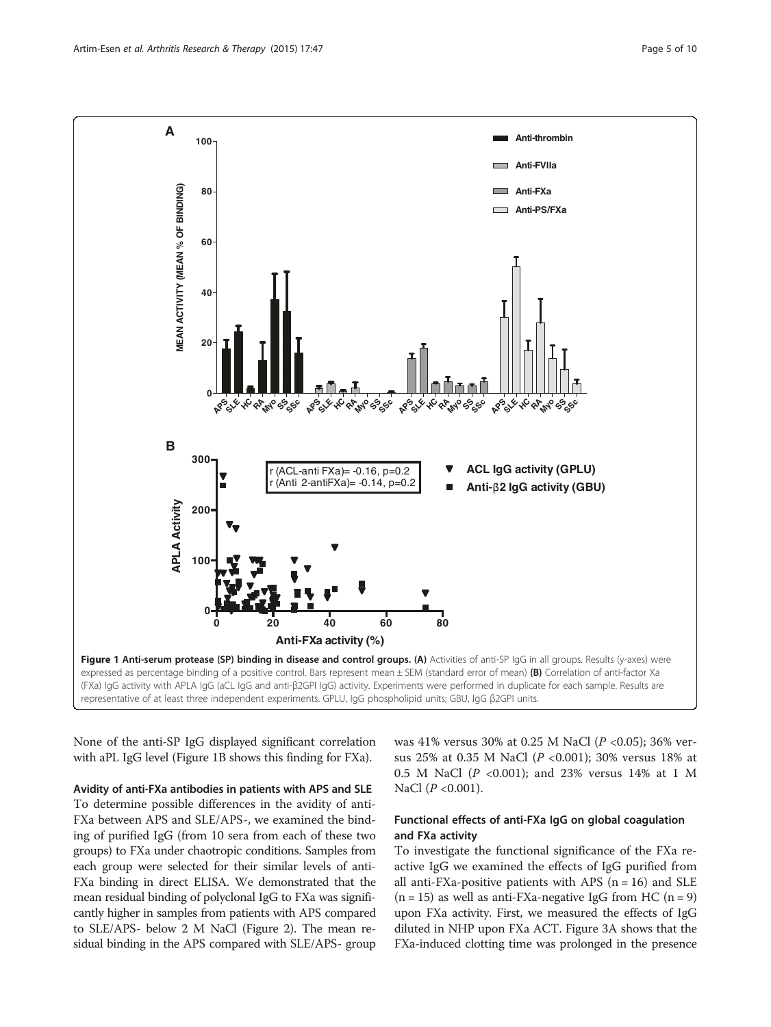<span id="page-4-0"></span>

None of the anti-SP IgG displayed significant correlation with aPL IgG level (Figure 1B shows this finding for FXa).

Avidity of anti-FXa antibodies in patients with APS and SLE

To determine possible differences in the avidity of anti-FXa between APS and SLE/APS-, we examined the binding of purified IgG (from 10 sera from each of these two groups) to FXa under chaotropic conditions. Samples from each group were selected for their similar levels of anti-FXa binding in direct ELISA. We demonstrated that the mean residual binding of polyclonal IgG to FXa was significantly higher in samples from patients with APS compared to SLE/APS- below 2 M NaCl (Figure [2](#page-5-0)). The mean residual binding in the APS compared with SLE/APS- group was 41% versus 30% at 0.25 M NaCl (P <0.05); 36% versus 25% at 0.35 M NaCl (P <0.001); 30% versus 18% at 0.5 M NaCl (P <0.001); and 23% versus 14% at 1 M NaCl  $(P < 0.001)$ .

# Functional effects of anti-FXa IgG on global coagulation and FXa activity

To investigate the functional significance of the FXa reactive IgG we examined the effects of IgG purified from all anti-FXa-positive patients with APS  $(n = 16)$  and SLE  $(n = 15)$  as well as anti-FXa-negative IgG from HC  $(n = 9)$ upon FXa activity. First, we measured the effects of IgG diluted in NHP upon FXa ACT. Figure [3](#page-6-0)A shows that the FXa-induced clotting time was prolonged in the presence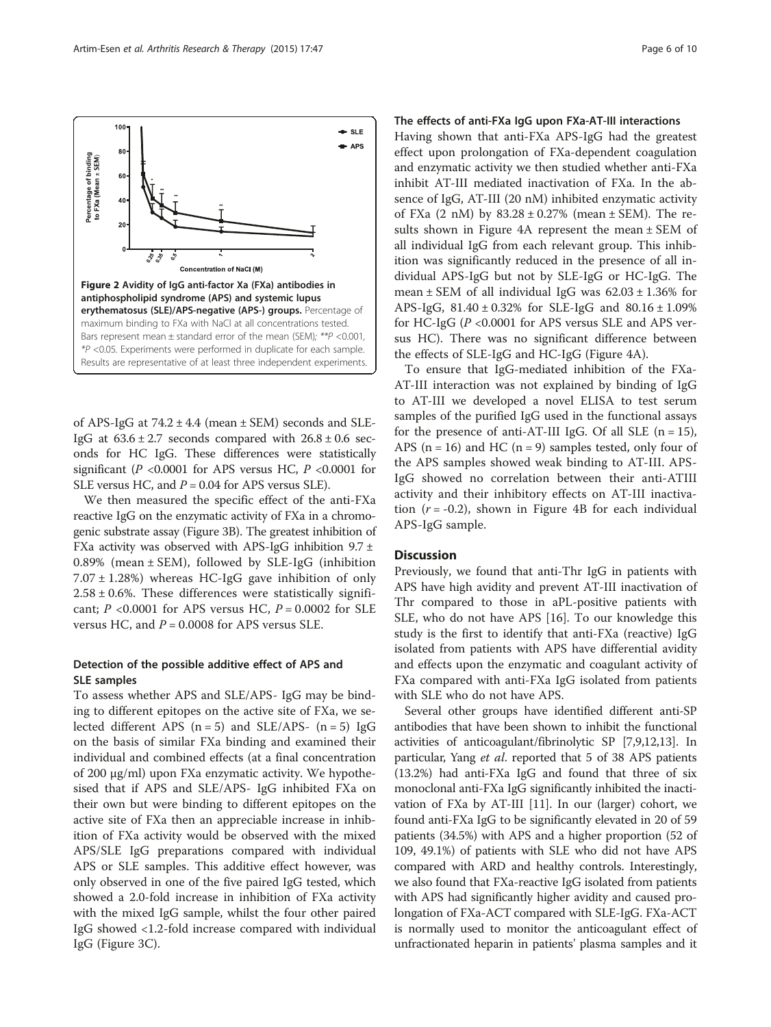<span id="page-5-0"></span>

of APS-IgG at  $74.2 \pm 4.4$  (mean  $\pm$  SEM) seconds and SLE-IgG at  $63.6 \pm 2.7$  seconds compared with  $26.8 \pm 0.6$  seconds for HC IgG. These differences were statistically significant ( $P < 0.0001$  for APS versus HC,  $P < 0.0001$  for SLE versus HC, and  $P = 0.04$  for APS versus SLE).

We then measured the specific effect of the anti-FXa reactive IgG on the enzymatic activity of FXa in a chromogenic substrate assay (Figure [3B](#page-6-0)). The greatest inhibition of FXa activity was observed with APS-IgG inhibition  $9.7 \pm$ 0.89% (mean  $\pm$  SEM), followed by SLE-IgG (inhibition  $7.07 \pm 1.28$ %) whereas HC-IgG gave inhibition of only  $2.58 \pm 0.6$ %. These differences were statistically significant;  $P < 0.0001$  for APS versus HC,  $P = 0.0002$  for SLE versus HC, and  $P = 0.0008$  for APS versus SLE.

# Detection of the possible additive effect of APS and SLE samples

To assess whether APS and SLE/APS- IgG may be binding to different epitopes on the active site of FXa, we selected different APS  $(n = 5)$  and SLE/APS-  $(n = 5)$  IgG on the basis of similar FXa binding and examined their individual and combined effects (at a final concentration of 200 μg/ml) upon FXa enzymatic activity. We hypothesised that if APS and SLE/APS- IgG inhibited FXa on their own but were binding to different epitopes on the active site of FXa then an appreciable increase in inhibition of FXa activity would be observed with the mixed APS/SLE IgG preparations compared with individual APS or SLE samples. This additive effect however, was only observed in one of the five paired IgG tested, which showed a 2.0-fold increase in inhibition of FXa activity with the mixed IgG sample, whilst the four other paired IgG showed <1.2-fold increase compared with individual IgG (Figure [3C](#page-6-0)).

#### The effects of anti-FXa IgG upon FXa-AT-III interactions

Having shown that anti-FXa APS-IgG had the greatest effect upon prolongation of FXa-dependent coagulation and enzymatic activity we then studied whether anti-FXa inhibit AT-III mediated inactivation of FXa. In the absence of IgG, AT-III (20 nM) inhibited enzymatic activity of FXa  $(2 \text{ nM})$  by  $83.28 \pm 0.27\%$  (mean  $\pm$  SEM). The results shown in Figure [4A](#page-7-0) represent the mean ± SEM of all individual IgG from each relevant group. This inhibition was significantly reduced in the presence of all individual APS-IgG but not by SLE-IgG or HC-IgG. The mean  $\pm$  SEM of all individual IgG was  $62.03 \pm 1.36\%$  for APS-IgG,  $81.40 \pm 0.32\%$  for SLE-IgG and  $80.16 \pm 1.09\%$ for HC-IgG (P <0.0001 for APS versus SLE and APS versus HC). There was no significant difference between the effects of SLE-IgG and HC-IgG (Figure [4](#page-7-0)A).

To ensure that IgG-mediated inhibition of the FXa-AT-III interaction was not explained by binding of IgG to AT-III we developed a novel ELISA to test serum samples of the purified IgG used in the functional assays for the presence of anti-AT-III IgG. Of all SLE  $(n = 15)$ , APS ( $n = 16$ ) and HC ( $n = 9$ ) samples tested, only four of the APS samples showed weak binding to AT-III. APS-IgG showed no correlation between their anti-ATIII activity and their inhibitory effects on AT-III inactivation  $(r = -0.2)$ , shown in Figure [4B](#page-7-0) for each individual APS-IgG sample.

#### **Discussion**

Previously, we found that anti-Thr IgG in patients with APS have high avidity and prevent AT-III inactivation of Thr compared to those in aPL-positive patients with SLE, who do not have APS [\[16\]](#page-9-0). To our knowledge this study is the first to identify that anti-FXa (reactive) IgG isolated from patients with APS have differential avidity and effects upon the enzymatic and coagulant activity of FXa compared with anti-FXa IgG isolated from patients with SLE who do not have APS.

Several other groups have identified different anti-SP antibodies that have been shown to inhibit the functional activities of anticoagulant/fibrinolytic SP [\[7,9,12](#page-8-0)[,13](#page-9-0)]. In particular, Yang et al. reported that 5 of 38 APS patients (13.2%) had anti-FXa IgG and found that three of six monoclonal anti-FXa IgG significantly inhibited the inactivation of FXa by AT-III [[11](#page-8-0)]. In our (larger) cohort, we found anti-FXa IgG to be significantly elevated in 20 of 59 patients (34.5%) with APS and a higher proportion (52 of 109, 49.1%) of patients with SLE who did not have APS compared with ARD and healthy controls. Interestingly, we also found that FXa-reactive IgG isolated from patients with APS had significantly higher avidity and caused prolongation of FXa-ACT compared with SLE-IgG. FXa-ACT is normally used to monitor the anticoagulant effect of unfractionated heparin in patients' plasma samples and it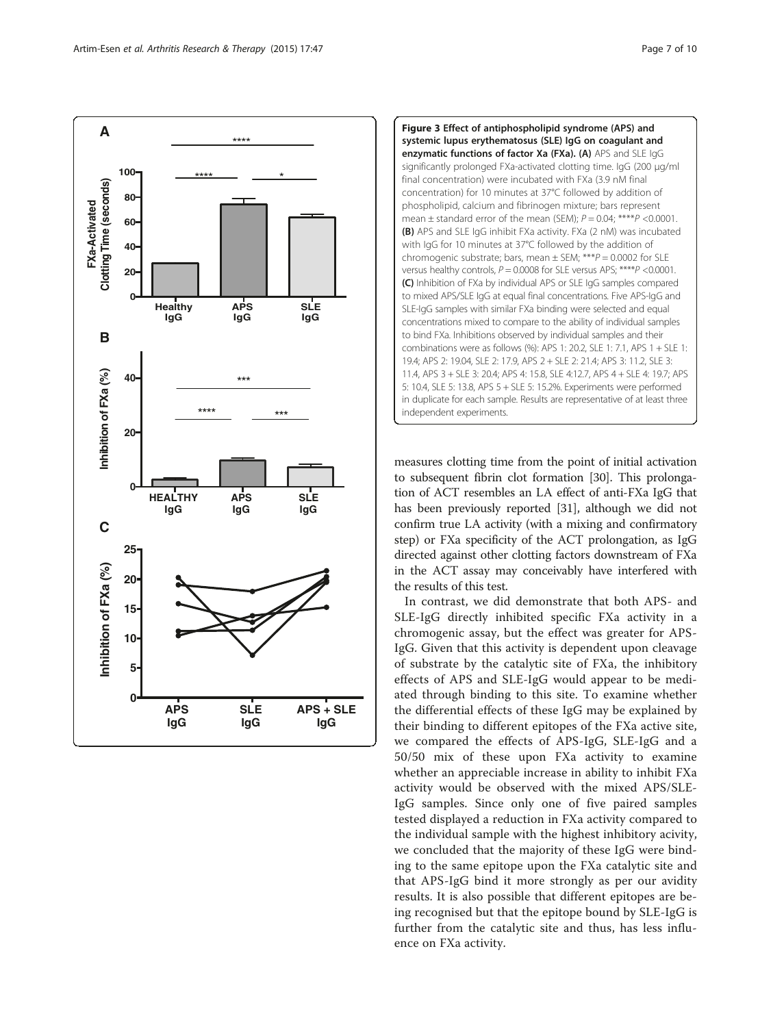<span id="page-6-0"></span>



measures clotting time from the point of initial activation to subsequent fibrin clot formation [\[30](#page-9-0)]. This prolongation of ACT resembles an LA effect of anti-FXa IgG that has been previously reported [\[31\]](#page-9-0), although we did not confirm true LA activity (with a mixing and confirmatory step) or FXa specificity of the ACT prolongation, as IgG directed against other clotting factors downstream of FXa in the ACT assay may conceivably have interfered with the results of this test.

In contrast, we did demonstrate that both APS- and SLE-IgG directly inhibited specific FXa activity in a chromogenic assay, but the effect was greater for APS-IgG. Given that this activity is dependent upon cleavage of substrate by the catalytic site of FXa, the inhibitory effects of APS and SLE-IgG would appear to be mediated through binding to this site. To examine whether the differential effects of these IgG may be explained by their binding to different epitopes of the FXa active site, we compared the effects of APS-IgG, SLE-IgG and a 50/50 mix of these upon FXa activity to examine whether an appreciable increase in ability to inhibit FXa activity would be observed with the mixed APS/SLE-IgG samples. Since only one of five paired samples tested displayed a reduction in FXa activity compared to the individual sample with the highest inhibitory acivity, we concluded that the majority of these IgG were binding to the same epitope upon the FXa catalytic site and that APS-IgG bind it more strongly as per our avidity results. It is also possible that different epitopes are being recognised but that the epitope bound by SLE-IgG is further from the catalytic site and thus, has less influence on FXa activity.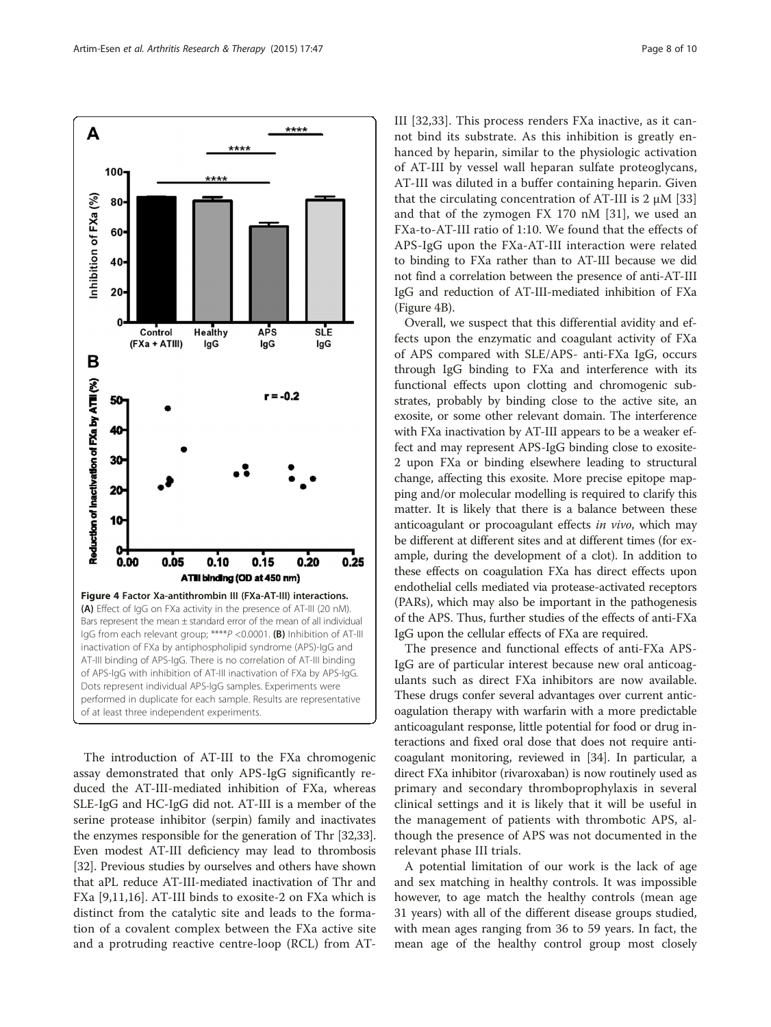<span id="page-7-0"></span>

The introduction of AT-III to the FXa chromogenic assay demonstrated that only APS-IgG significantly reduced the AT-III-mediated inhibition of FXa, whereas SLE-IgG and HC-IgG did not. AT-III is a member of the serine protease inhibitor (serpin) family and inactivates the enzymes responsible for the generation of Thr [\[32,33](#page-9-0)]. Even modest AT-III deficiency may lead to thrombosis [[32](#page-9-0)]. Previous studies by ourselves and others have shown that aPL reduce AT-III-mediated inactivation of Thr and FXa [\[9](#page-8-0),[11,](#page-8-0)[16\]](#page-9-0). AT-III binds to exosite-2 on FXa which is distinct from the catalytic site and leads to the formation of a covalent complex between the FXa active site and a protruding reactive centre-loop (RCL) from AT- III [\[32](#page-9-0),[33\]](#page-9-0). This process renders FXa inactive, as it cannot bind its substrate. As this inhibition is greatly enhanced by heparin, similar to the physiologic activation of AT-III by vessel wall heparan sulfate proteoglycans, AT-III was diluted in a buffer containing heparin. Given that the circulating concentration of AT-III is 2 μM [\[33](#page-9-0)] and that of the zymogen FX 170 nM [[31\]](#page-9-0), we used an FXa-to-AT-III ratio of 1:10. We found that the effects of APS-IgG upon the FXa-AT-III interaction were related to binding to FXa rather than to AT-III because we did not find a correlation between the presence of anti-AT-III IgG and reduction of AT-III-mediated inhibition of FXa (Figure 4B).

Overall, we suspect that this differential avidity and effects upon the enzymatic and coagulant activity of FXa of APS compared with SLE/APS- anti-FXa IgG, occurs through IgG binding to FXa and interference with its functional effects upon clotting and chromogenic substrates, probably by binding close to the active site, an exosite, or some other relevant domain. The interference with FXa inactivation by AT-III appears to be a weaker effect and may represent APS-IgG binding close to exosite-2 upon FXa or binding elsewhere leading to structural change, affecting this exosite. More precise epitope mapping and/or molecular modelling is required to clarify this matter. It is likely that there is a balance between these anticoagulant or procoagulant effects in vivo, which may be different at different sites and at different times (for example, during the development of a clot). In addition to these effects on coagulation FXa has direct effects upon endothelial cells mediated via protease-activated receptors (PARs), which may also be important in the pathogenesis of the APS. Thus, further studies of the effects of anti-FXa IgG upon the cellular effects of FXa are required.

The presence and functional effects of anti-FXa APS-IgG are of particular interest because new oral anticoagulants such as direct FXa inhibitors are now available. These drugs confer several advantages over current anticoagulation therapy with warfarin with a more predictable anticoagulant response, little potential for food or drug interactions and fixed oral dose that does not require anticoagulant monitoring, reviewed in [\[34](#page-9-0)]. In particular, a direct FXa inhibitor (rivaroxaban) is now routinely used as primary and secondary thromboprophylaxis in several clinical settings and it is likely that it will be useful in the management of patients with thrombotic APS, although the presence of APS was not documented in the relevant phase III trials.

A potential limitation of our work is the lack of age and sex matching in healthy controls. It was impossible however, to age match the healthy controls (mean age 31 years) with all of the different disease groups studied, with mean ages ranging from 36 to 59 years. In fact, the mean age of the healthy control group most closely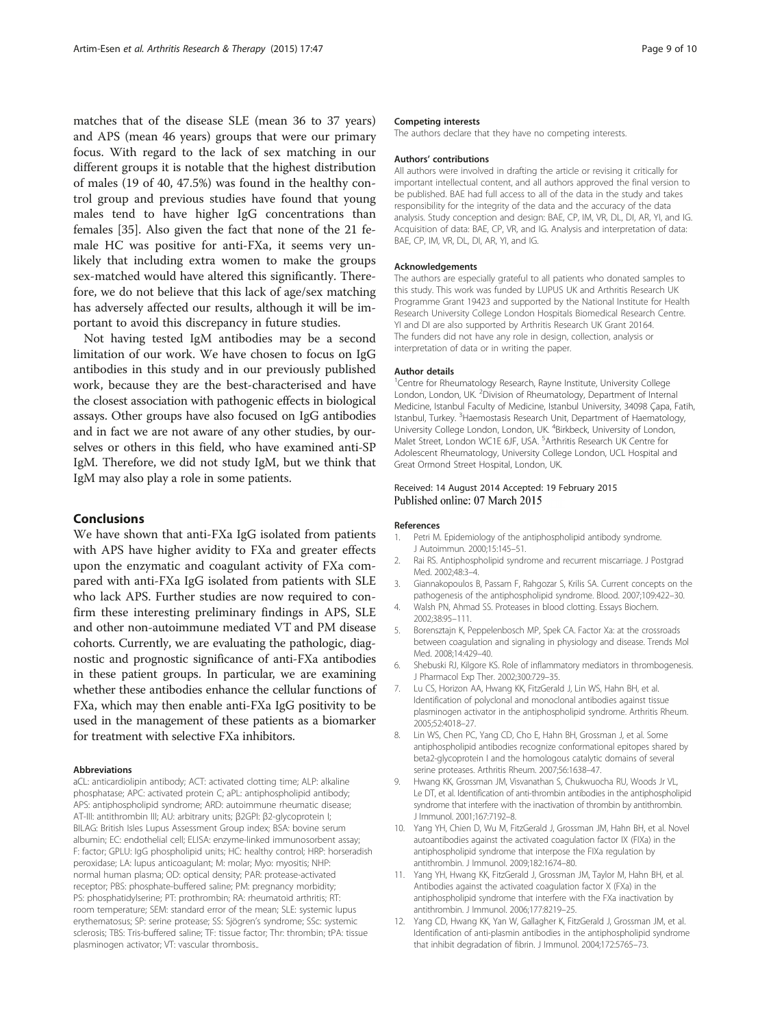<span id="page-8-0"></span>matches that of the disease SLE (mean 36 to 37 years) and APS (mean 46 years) groups that were our primary focus. With regard to the lack of sex matching in our different groups it is notable that the highest distribution of males (19 of 40, 47.5%) was found in the healthy control group and previous studies have found that young males tend to have higher IgG concentrations than females [[35\]](#page-9-0). Also given the fact that none of the 21 female HC was positive for anti-FXa, it seems very unlikely that including extra women to make the groups sex-matched would have altered this significantly. Therefore, we do not believe that this lack of age/sex matching has adversely affected our results, although it will be important to avoid this discrepancy in future studies.

Not having tested IgM antibodies may be a second limitation of our work. We have chosen to focus on IgG antibodies in this study and in our previously published work, because they are the best-characterised and have the closest association with pathogenic effects in biological assays. Other groups have also focused on IgG antibodies and in fact we are not aware of any other studies, by ourselves or others in this field, who have examined anti-SP IgM. Therefore, we did not study IgM, but we think that IgM may also play a role in some patients.

#### **Conclusions**

We have shown that anti-FXa IgG isolated from patients with APS have higher avidity to FXa and greater effects upon the enzymatic and coagulant activity of FXa compared with anti-FXa IgG isolated from patients with SLE who lack APS. Further studies are now required to confirm these interesting preliminary findings in APS, SLE and other non-autoimmune mediated VT and PM disease cohorts. Currently, we are evaluating the pathologic, diagnostic and prognostic significance of anti-FXa antibodies in these patient groups. In particular, we are examining whether these antibodies enhance the cellular functions of FXa, which may then enable anti-FXa IgG positivity to be used in the management of these patients as a biomarker for treatment with selective FXa inhibitors.

#### Abbreviations

aCL: anticardiolipin antibody; ACT: activated clotting time; ALP: alkaline phosphatase; APC: activated protein C; aPL: antiphospholipid antibody; APS: antiphospholipid syndrome; ARD: autoimmune rheumatic disease; AT-III: antithrombin III; AU: arbitrary units; β2GPI: β2-glycoprotein I; BILAG: British Isles Lupus Assessment Group index; BSA: bovine serum albumin; EC: endothelial cell; ELISA: enzyme-linked immunosorbent assay; F: factor; GPLU: IgG phospholipid units; HC: healthy control; HRP: horseradish peroxidase; LA: lupus anticoagulant; M: molar; Myo: myositis; NHP: normal human plasma; OD: optical density; PAR: protease-activated receptor; PBS: phosphate-buffered saline; PM: pregnancy morbidity; PS: phosphatidylserine; PT: prothrombin; RA: rheumatoid arthritis; RT: room temperature; SEM: standard error of the mean; SLE: systemic lupus erythematosus; SP: serine protease; SS: Sjögren's syndrome; SSc: systemic sclerosis; TBS: Tris-buffered saline; TF: tissue factor; Thr: thrombin; tPA: tissue plasminogen activator; VT: vascular thrombosis..

#### Competing interests

The authors declare that they have no competing interests.

#### Authors' contributions

All authors were involved in drafting the article or revising it critically for important intellectual content, and all authors approved the final version to be published. BAE had full access to all of the data in the study and takes responsibility for the integrity of the data and the accuracy of the data analysis. Study conception and design: BAE, CP, IM, VR, DL, DI, AR, YI, and IG. Acquisition of data: BAE, CP, VR, and IG. Analysis and interpretation of data: BAE, CP, IM, VR, DL, DI, AR, YI, and IG.

#### Acknowledgements

The authors are especially grateful to all patients who donated samples to this study. This work was funded by LUPUS UK and Arthritis Research UK Programme Grant 19423 and supported by the National Institute for Health Research University College London Hospitals Biomedical Research Centre. YI and DI are also supported by Arthritis Research UK Grant 20164. The funders did not have any role in design, collection, analysis or interpretation of data or in writing the paper.

#### Author details

<sup>1</sup> Centre for Rheumatology Research, Rayne Institute, University College London, London, UK. <sup>2</sup> Division of Rheumatology, Department of Internal Medicine, Istanbul Faculty of Medicine, Istanbul University, 34098 Çapa, Fatih, Istanbul, Turkey. <sup>3</sup> Haemostasis Research Unit, Department of Haematology University College London, London, UK. <sup>4</sup>Birkbeck, University of London, Malet Street, London WC1E 6JF, USA. <sup>5</sup>Arthritis Research UK Centre for Adolescent Rheumatology, University College London, UCL Hospital and Great Ormond Street Hospital, London, UK.

# Received: 14 August 2014 Accepted: 19 February 2015<br>Published online: 07 March 2015

#### References

- 1. Petri M. Epidemiology of the antiphospholipid antibody syndrome. J Autoimmun. 2000;15:145–51.
- 2. Rai RS. Antiphospholipid syndrome and recurrent miscarriage. J Postgrad Med. 2002;48:3–4.
- 3. Giannakopoulos B, Passam F, Rahgozar S, Krilis SA. Current concepts on the pathogenesis of the antiphospholipid syndrome. Blood. 2007;109:422–30.
- 4. Walsh PN, Ahmad SS. Proteases in blood clotting. Essays Biochem. 2002;38:95–111.
- 5. Borensztajn K, Peppelenbosch MP, Spek CA. Factor Xa: at the crossroads between coagulation and signaling in physiology and disease. Trends Mol Med. 2008;14:429–40.
- 6. Shebuski RJ, Kilgore KS. Role of inflammatory mediators in thrombogenesis. J Pharmacol Exp Ther. 2002;300:729–35.
- 7. Lu CS, Horizon AA, Hwang KK, FitzGerald J, Lin WS, Hahn BH, et al. Identification of polyclonal and monoclonal antibodies against tissue plasminogen activator in the antiphospholipid syndrome. Arthritis Rheum. 2005;52:4018–27.
- 8. Lin WS, Chen PC, Yang CD, Cho E, Hahn BH, Grossman J, et al. Some antiphospholipid antibodies recognize conformational epitopes shared by beta2-glycoprotein I and the homologous catalytic domains of several serine proteases. Arthritis Rheum. 2007;56:1638–47.
- 9. Hwang KK, Grossman JM, Visvanathan S, Chukwuocha RU, Woods Jr VL, Le DT, et al. Identification of anti-thrombin antibodies in the antiphospholipid syndrome that interfere with the inactivation of thrombin by antithrombin. J Immunol. 2001;167:7192–8.
- 10. Yang YH, Chien D, Wu M, FitzGerald J, Grossman JM, Hahn BH, et al. Novel autoantibodies against the activated coagulation factor IX (FIXa) in the antiphospholipid syndrome that interpose the FIXa regulation by antithrombin. J Immunol. 2009;182:1674–80.
- 11. Yang YH, Hwang KK, FitzGerald J, Grossman JM, Taylor M, Hahn BH, et al. Antibodies against the activated coagulation factor X (FXa) in the antiphospholipid syndrome that interfere with the FXa inactivation by antithrombin. J Immunol. 2006;177:8219–25.
- 12. Yang CD, Hwang KK, Yan W, Gallagher K, FitzGerald J, Grossman JM, et al. Identification of anti-plasmin antibodies in the antiphospholipid syndrome that inhibit degradation of fibrin. J Immunol. 2004;172:5765–73.